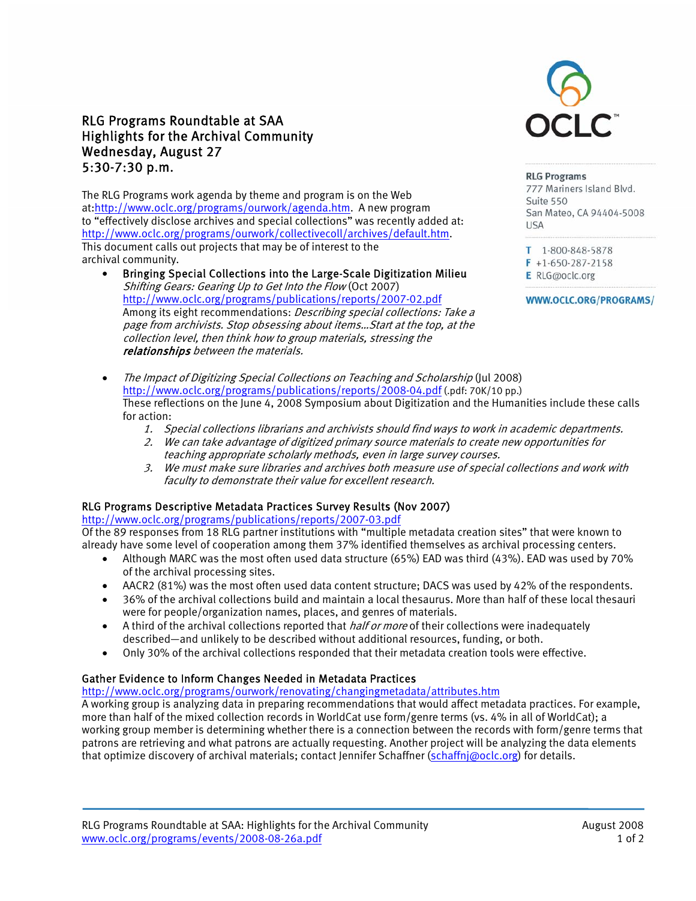# RLG Programs Roundtable at SAA Highlights for the Archival Community Wednesday, August 27 5:30-7:30 p.m.

The RLG Programs work agenda by theme and program is on the Web at:http://www.oclc.org/programs/ourwork/agenda.htm. A new program to "effectively disclose archives and special collections" was recently added at: http://www.oclc.org/programs/ourwork/collectivecoll/archives/default.htm. This document calls out projects that may be of interest to the archival community.

- Bringing Special Collections into the Large-Scale Digitization Milieu Shifting Gears: Gearing Up to Get Into the Flow (Oct 2007) http://www.oclc.org/programs/publications/reports/2007-02.pdf Among its eight recommendations: *Describing special collections: Take a* page from archivists. Stop obsessing about items…Start at the top, at the collection level, then think how to group materials, stressing the relationships between the materials.
- The Impact of Digitizing Special Collections on Teaching and Scholarship (Jul 2008) http://www.oclc.org/programs/publications/reports/2008-04.pdf (.pdf: 70K/10 pp.) These reflections on the June 4, 2008 Symposium about Digitization and the Humanities include these calls for action:
	- 1. Special collections librarians and archivists should find ways to work in academic departments.
	- 2. We can take advantage of digitized primary source materials to create new opportunities for teaching appropriate scholarly methods, even in large survey courses.
	- 3. We must make sure libraries and archives both measure use of special collections and work with faculty to demonstrate their value for excellent research.

## RLG Programs Descriptive Metadata Practices Survey Results (Nov 2007)

http://www.oclc.org/programs/publications/reports/2007-03.pdf Of the 89 responses from 18 RLG partner institutions with "multiple metadata creation sites" that were known to already have some level of cooperation among them 37% identified themselves as archival processing centers.

- Although MARC was the most often used data structure (65%) EAD was third (43%). EAD was used by 70% of the archival processing sites.
- AACR2 (81%) was the most often used data content structure; DACS was used by 42% of the respondents.
- 36% of the archival collections build and maintain a local thesaurus. More than half of these local thesauri were for people/organization names, places, and genres of materials.
- $\bullet$  A third of the archival collections reported that *half or more* of their collections were inadequately described—and unlikely to be described without additional resources, funding, or both.
- Only 30% of the archival collections responded that their metadata creation tools were effective.

### Gather Evidence to Inform Changes Needed in Metadata Practices

## http://www.oclc.org/programs/ourwork/renovating/changingmetadata/attributes.htm

A working group is analyzing data in preparing recommendations that would affect metadata practices. For example, more than half of the mixed collection records in WorldCat use form/genre terms (vs. 4% in all of WorldCat); a working group member is determining whether there is a connection between the records with form/genre terms that patrons are retrieving and what patrons are actually requesting. Another project will be analyzing the data elements that optimize discovery of archival materials; contact Jennifer Schaffner (schaffnj@oclc.org) for details.



#### **RLG Programs**

777 Mariners Island Blvd. Suite 550 San Mateo, CA 94404-5008 **IISA** 

T 1-800-848-5878  $F$  +1-650-287-2158

- E RLG@oclc.org
- WWW.OCLC.ORG/PROGRAMS/